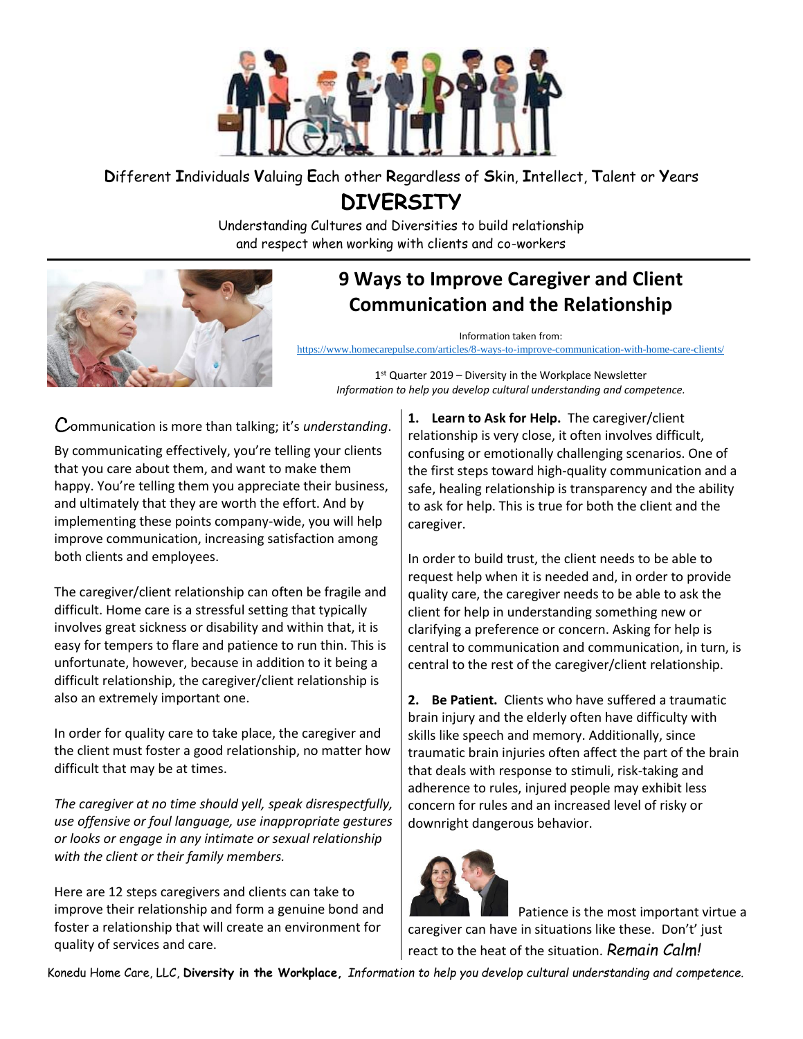

**D**ifferent **I**ndividuals **V**aluing **E**ach other **R**egardless of **S**kin, **I**ntellect, **T**alent or **Y**ears

**DIVERSITY**

Understanding Cultures and Diversities to build relationship and respect when working with clients and co-workers



## **9 Ways to Improve Caregiver and Client Communication and the Relationship**

Information taken from:

<https://www.homecarepulse.com/articles/8-ways-to-improve-communication-with-home-care-clients/>

1 st Quarter 2019 – Diversity in the Workplace Newsletter *Information to help you develop cultural understanding and competence.*

Communication is more than talking; it's *understanding*.

By communicating effectively, you're telling your clients that you care about them, and want to make them happy. You're telling them you appreciate their business, and ultimately that they are worth the effort. And by implementing these points company-wide, you will help improve communication, increasing satisfaction among both clients and employees.

The caregiver/client relationship can often be fragile and difficult. Home care is a stressful setting that typically involves great sickness or disability and within that, it is easy for tempers to flare and patience to run thin. This is unfortunate, however, because in addition to it being a difficult relationship, the caregiver/client relationship is also an extremely important one.

In order for quality care to take place, the caregiver and the client must foster a good relationship, no matter how difficult that may be at times.

*The caregiver at no time should yell, speak disrespectfully, use offensive or foul language, use inappropriate gestures or looks or engage in any intimate or sexual relationship with the client or their family members.*

Here are 12 steps caregivers and clients can take to improve their relationship and form a genuine bond and foster a relationship that will create an environment for quality of services and care.

**1. Learn to Ask for Help.** The caregiver/client relationship is very close, it often involves difficult, confusing or emotionally challenging scenarios. One of the first steps toward high-quality communication and a safe, healing relationship is transparency and the ability to ask for help. This is true for both the client and the caregiver.

In order to build trust, the client needs to be able to request help when it is needed and, in order to provide quality care, the caregiver needs to be able to ask the client for help in understanding something new or clarifying a preference or concern. Asking for help is central to communication and communication, in turn, is central to the rest of the caregiver/client relationship.

**2. Be Patient.** Clients who have suffered a traumatic brain injury and the elderly often have difficulty with skills like speech and memory. Additionally, since traumatic brain injuries often affect the part of the brain that deals with response to stimuli, risk-taking and adherence to rules, injured people may exhibit less concern for rules and an increased level of risky or downright dangerous behavior.



 Patience is the most important virtue a caregiver can have in situations like these. Don't' just react to the heat of the situation. *Remain Calm!*

Konedu Home Care, LLC, **Diversity in the Workplace,** *Information to help you develop cultural understanding and competence.*